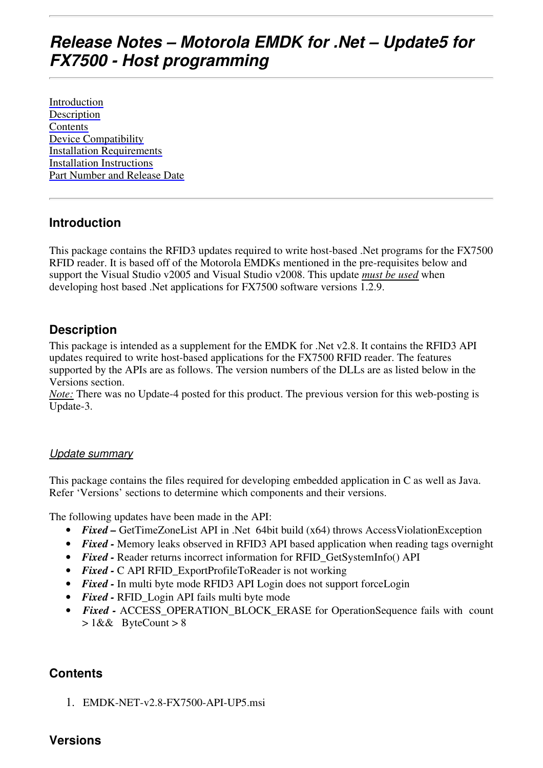# **Release Notes – Motorola EMDK for .Net – Update5 for FX7500 - Host programming**

Introduction Description **Contents** Device Compatibility Installation Requirements Installation Instructions Part Number and Release Date

#### **Introduction**

This package contains the RFID3 updates required to write host-based .Net programs for the FX7500 RFID reader. It is based off of the Motorola EMDKs mentioned in the pre-requisites below and support the Visual Studio v2005 and Visual Studio v2008. This update *must be used* when developing host based .Net applications for FX7500 software versions 1.2.9.

## **Description**

This package is intended as a supplement for the EMDK for .Net v2.8. It contains the RFID3 API updates required to write host-based applications for the FX7500 RFID reader. The features supported by the APIs are as follows. The version numbers of the DLLs are as listed below in the Versions section.

*Note:* There was no Update-4 posted for this product. The previous version for this web-posting is Update-3.

#### Update summary

This package contains the files required for developing embedded application in C as well as Java. Refer 'Versions' sections to determine which components and their versions.

The following updates have been made in the API:

- *Fixed* GetTimeZoneList API in .Net 64bit build (x64) throws Access ViolationException
- *Fixed* Memory leaks observed in RFID3 API based application when reading tags overnight
- *Fixed* Reader returns incorrect information for RFID GetSystemInfo() API
- *Fixed* C API RFID\_ExportProfileToReader is not working
- *Fixed* In multi byte mode RFID3 API Login does not support forceLogin
- *Fixed* RFID Login API fails multi byte mode
- *Fixed* ACCESS OPERATION BLOCK ERASE for OperationSequence fails with count  $> 1&&$  ByteCount  $> 8$

# **Contents**

1. EMDK-NET-v2.8-FX7500-API-UP5.msi

#### **Versions**